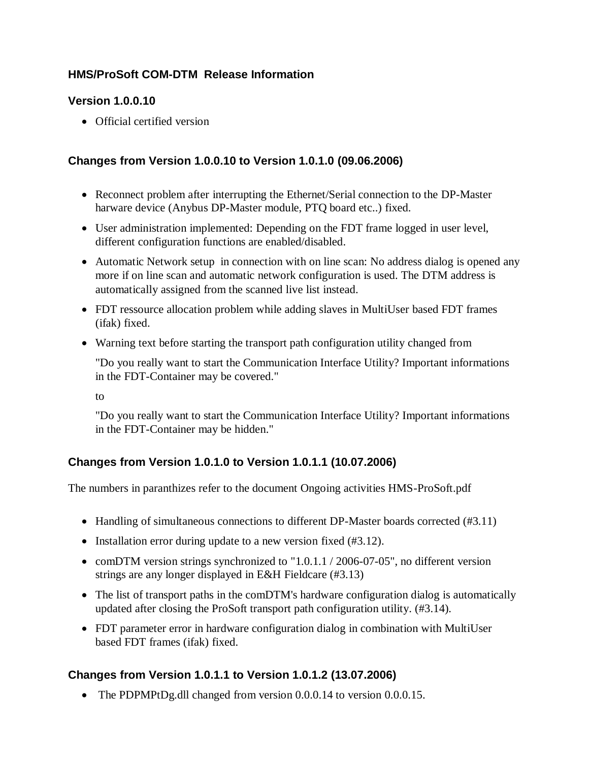## **HMS/ProSoft COM-DTM Release Information**

#### **Version 1.0.0.10**

Official certified version

### **Changes from Version 1.0.0.10 to Version 1.0.1.0 (09.06.2006)**

- Reconnect problem after interrupting the Ethernet/Serial connection to the DP-Master harware device (Anybus DP-Master module, PTQ board etc..) fixed.
- User administration implemented: Depending on the FDT frame logged in user level, different configuration functions are enabled/disabled.
- Automatic Network setup in connection with on line scan: No address dialog is opened any more if on line scan and automatic network configuration is used. The DTM address is automatically assigned from the scanned live list instead.
- FDT ressource allocation problem while adding slaves in MultiUser based FDT frames (ifak) fixed.
- Warning text before starting the transport path configuration utility changed from

"Do you really want to start the Communication Interface Utility? Important informations in the FDT-Container may be covered."

to

"Do you really want to start the Communication Interface Utility? Important informations in the FDT-Container may be hidden."

# **Changes from Version 1.0.1.0 to Version 1.0.1.1 (10.07.2006)**

The numbers in paranthizes refer to the document Ongoing activities HMS-ProSoft.pdf

- Handling of simultaneous connections to different DP-Master boards corrected (#3.11)
- Installation error during update to a new version fixed  $(\#3.12)$ .
- comDTM version strings synchronized to "1.0.1.1 / 2006-07-05", no different version strings are any longer displayed in E&H Fieldcare (#3.13)
- The list of transport paths in the comDTM's hardware configuration dialog is automatically updated after closing the ProSoft transport path configuration utility. (#3.14).
- FDT parameter error in hardware configuration dialog in combination with MultiUser based FDT frames (ifak) fixed.

### **Changes from Version 1.0.1.1 to Version 1.0.1.2 (13.07.2006)**

• The PDPMPtDg.dll changed from version 0.0.0.14 to version 0.0.0.15.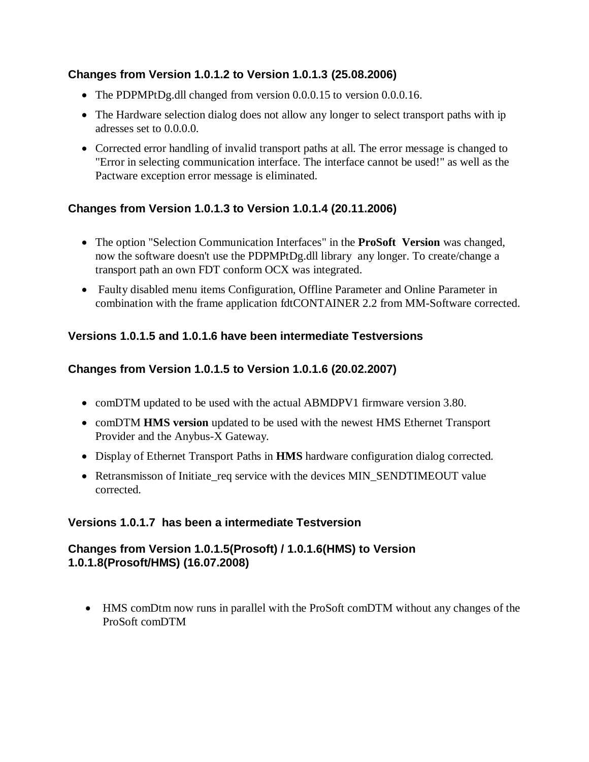## **Changes from Version 1.0.1.2 to Version 1.0.1.3 (25.08.2006)**

- The PDPMPtDg.dll changed from version 0.0.0.15 to version 0.0.0.16.
- The Hardware selection dialog does not allow any longer to select transport paths with ip adresses set to 0.0.0.0.
- Corrected error handling of invalid transport paths at all. The error message is changed to "Error in selecting communication interface. The interface cannot be used!" as well as the Pactware exception error message is eliminated.

# **Changes from Version 1.0.1.3 to Version 1.0.1.4 (20.11.2006)**

- The option "Selection Communication Interfaces" in the **ProSoft Version** was changed, now the software doesn't use the PDPMPtDg.dll library any longer. To create/change a transport path an own FDT conform OCX was integrated.
- Faulty disabled menu items Configuration, Offline Parameter and Online Parameter in combination with the frame application fdtCONTAINER 2.2 from MM-Software corrected.

## **Versions 1.0.1.5 and 1.0.1.6 have been intermediate Testversions**

## **Changes from Version 1.0.1.5 to Version 1.0.1.6 (20.02.2007)**

- comDTM updated to be used with the actual ABMDPV1 firmware version 3.80.
- comDTM **HMS version** updated to be used with the newest HMS Ethernet Transport Provider and the Anybus-X Gateway.
- Display of Ethernet Transport Paths in **HMS** hardware configuration dialog corrected.
- Retransmisson of Initiate\_req service with the devices MIN\_SENDTIMEOUT value corrected.

### **Versions 1.0.1.7 has been a intermediate Testversion**

### **Changes from Version 1.0.1.5(Prosoft) / 1.0.1.6(HMS) to Version 1.0.1.8(Prosoft/HMS) (16.07.2008)**

 HMS comDtm now runs in parallel with the ProSoft comDTM without any changes of the ProSoft comDTM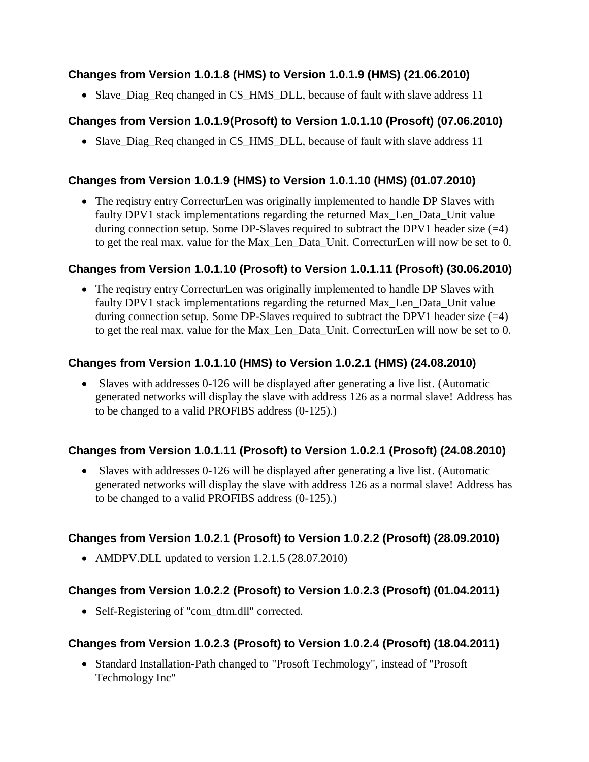### **Changes from Version 1.0.1.8 (HMS) to Version 1.0.1.9 (HMS) (21.06.2010)**

Slave\_Diag\_Req changed in CS\_HMS\_DLL, because of fault with slave address 11

# **Changes from Version 1.0.1.9(Prosoft) to Version 1.0.1.10 (Prosoft) (07.06.2010)**

• Slave\_Diag\_Req changed in CS\_HMS\_DLL, because of fault with slave address 11

# **Changes from Version 1.0.1.9 (HMS) to Version 1.0.1.10 (HMS) (01.07.2010)**

 The reqistry entry CorrecturLen was originally implemented to handle DP Slaves with faulty DPV1 stack implementations regarding the returned Max\_Len\_Data\_Unit value during connection setup. Some DP-Slaves required to subtract the DPV1 header size  $(=4)$ to get the real max. value for the Max\_Len\_Data\_Unit. CorrecturLen will now be set to 0.

## **Changes from Version 1.0.1.10 (Prosoft) to Version 1.0.1.11 (Prosoft) (30.06.2010)**

• The reqistry entry CorrecturLen was originally implemented to handle DP Slaves with faulty DPV1 stack implementations regarding the returned Max\_Len\_Data\_Unit value during connection setup. Some DP-Slaves required to subtract the DPV1 header size  $(=4)$ to get the real max. value for the Max\_Len\_Data\_Unit. CorrecturLen will now be set to 0.

# **Changes from Version 1.0.1.10 (HMS) to Version 1.0.2.1 (HMS) (24.08.2010)**

 Slaves with addresses 0-126 will be displayed after generating a live list. (Automatic generated networks will display the slave with address 126 as a normal slave! Address has to be changed to a valid PROFIBS address (0-125).)

# **Changes from Version 1.0.1.11 (Prosoft) to Version 1.0.2.1 (Prosoft) (24.08.2010)**

• Slaves with addresses 0-126 will be displayed after generating a live list. (Automatic generated networks will display the slave with address 126 as a normal slave! Address has to be changed to a valid PROFIBS address (0-125).)

# **Changes from Version 1.0.2.1 (Prosoft) to Version 1.0.2.2 (Prosoft) (28.09.2010)**

• AMDPV.DLL updated to version 1.2.1.5 (28.07.2010)

# **Changes from Version 1.0.2.2 (Prosoft) to Version 1.0.2.3 (Prosoft) (01.04.2011)**

• Self-Registering of "com\_dtm.dll" corrected.

# **Changes from Version 1.0.2.3 (Prosoft) to Version 1.0.2.4 (Prosoft) (18.04.2011)**

• Standard Installation-Path changed to "Prosoft Techmology", instead of "Prosoft" Techmology Inc"